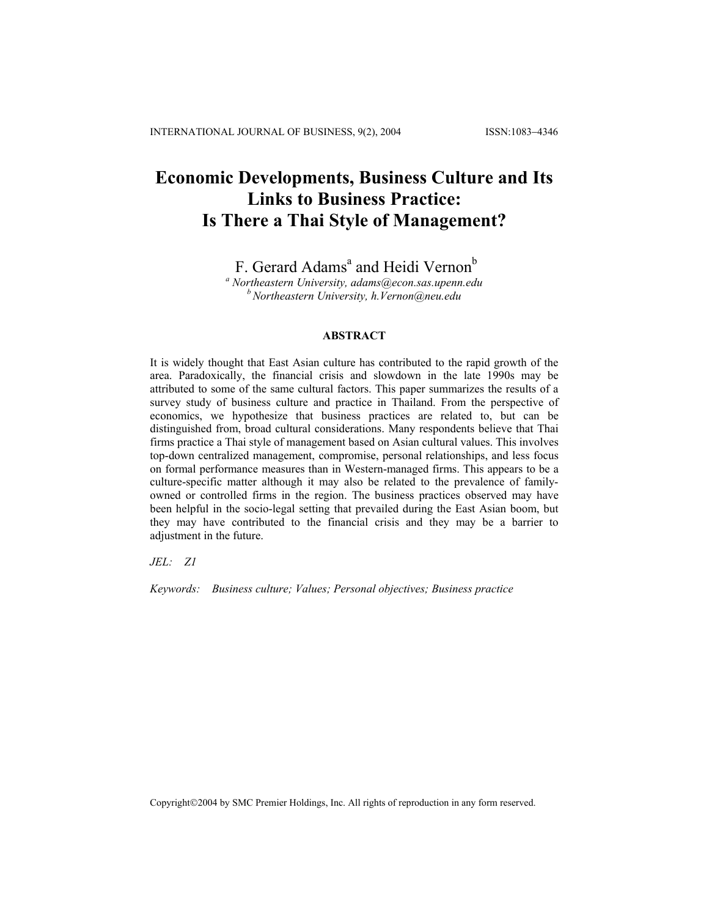# **Economic Developments, Business Culture and Its Links to Business Practice: Is There a Thai Style of Management?**

F. Gerard Adams<sup>a</sup> and Heidi Vernon<sup>b</sup>

*a Northeastern University, adams@econ.sas.upenn.edu b Northeastern University, h.Vernon@neu.edu*

#### **ABSTRACT**

It is widely thought that East Asian culture has contributed to the rapid growth of the area. Paradoxically, the financial crisis and slowdown in the late 1990s may be attributed to some of the same cultural factors. This paper summarizes the results of a survey study of business culture and practice in Thailand. From the perspective of economics, we hypothesize that business practices are related to, but can be distinguished from, broad cultural considerations. Many respondents believe that Thai firms practice a Thai style of management based on Asian cultural values. This involves top-down centralized management, compromise, personal relationships, and less focus on formal performance measures than in Western-managed firms. This appears to be a culture-specific matter although it may also be related to the prevalence of familyowned or controlled firms in the region. The business practices observed may have been helpful in the socio-legal setting that prevailed during the East Asian boom, but they may have contributed to the financial crisis and they may be a barrier to adjustment in the future.

*JEL: Z1* 

*Keywords: Business culture; Values; Personal objectives; Business practice* 

Copyright©2004 by SMC Premier Holdings, Inc. All rights of reproduction in any form reserved.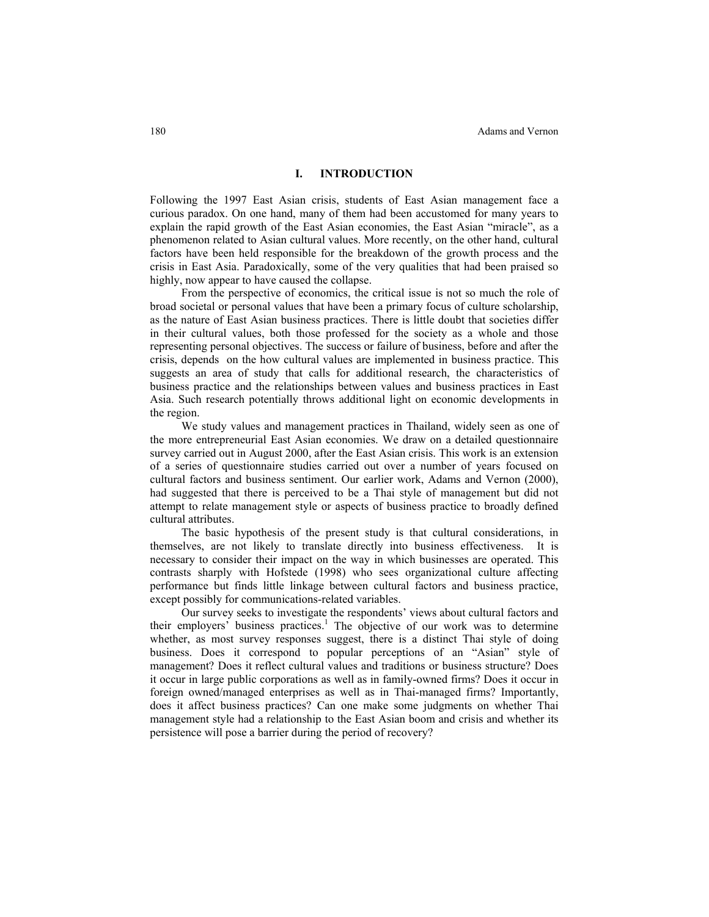### **I. INTRODUCTION**

Following the 1997 East Asian crisis, students of East Asian management face a curious paradox. On one hand, many of them had been accustomed for many years to explain the rapid growth of the East Asian economies, the East Asian "miracle", as a phenomenon related to Asian cultural values. More recently, on the other hand, cultural factors have been held responsible for the breakdown of the growth process and the crisis in East Asia. Paradoxically, some of the very qualities that had been praised so highly, now appear to have caused the collapse.

From the perspective of economics, the critical issue is not so much the role of broad societal or personal values that have been a primary focus of culture scholarship, as the nature of East Asian business practices. There is little doubt that societies differ in their cultural values, both those professed for the society as a whole and those representing personal objectives. The success or failure of business, before and after the crisis, depends on the how cultural values are implemented in business practice. This suggests an area of study that calls for additional research, the characteristics of business practice and the relationships between values and business practices in East Asia. Such research potentially throws additional light on economic developments in the region.

We study values and management practices in Thailand, widely seen as one of the more entrepreneurial East Asian economies. We draw on a detailed questionnaire survey carried out in August 2000, after the East Asian crisis. This work is an extension of a series of questionnaire studies carried out over a number of years focused on cultural factors and business sentiment. Our earlier work, Adams and Vernon (2000), had suggested that there is perceived to be a Thai style of management but did not attempt to relate management style or aspects of business practice to broadly defined cultural attributes.

The basic hypothesis of the present study is that cultural considerations, in themselves, are not likely to translate directly into business effectiveness. It is necessary to consider their impact on the way in which businesses are operated. This contrasts sharply with Hofstede (1998) who sees organizational culture affecting performance but finds little linkage between cultural factors and business practice, except possibly for communications-related variables.

Our survey seeks to investigate the respondents' views about cultural factors and their employers' business practices.<sup>1</sup> The objective of our work was to determine whether, as most survey responses suggest, there is a distinct Thai style of doing business. Does it correspond to popular perceptions of an "Asian" style of management? Does it reflect cultural values and traditions or business structure? Does it occur in large public corporations as well as in family-owned firms? Does it occur in foreign owned/managed enterprises as well as in Thai-managed firms? Importantly, does it affect business practices? Can one make some judgments on whether Thai management style had a relationship to the East Asian boom and crisis and whether its persistence will pose a barrier during the period of recovery?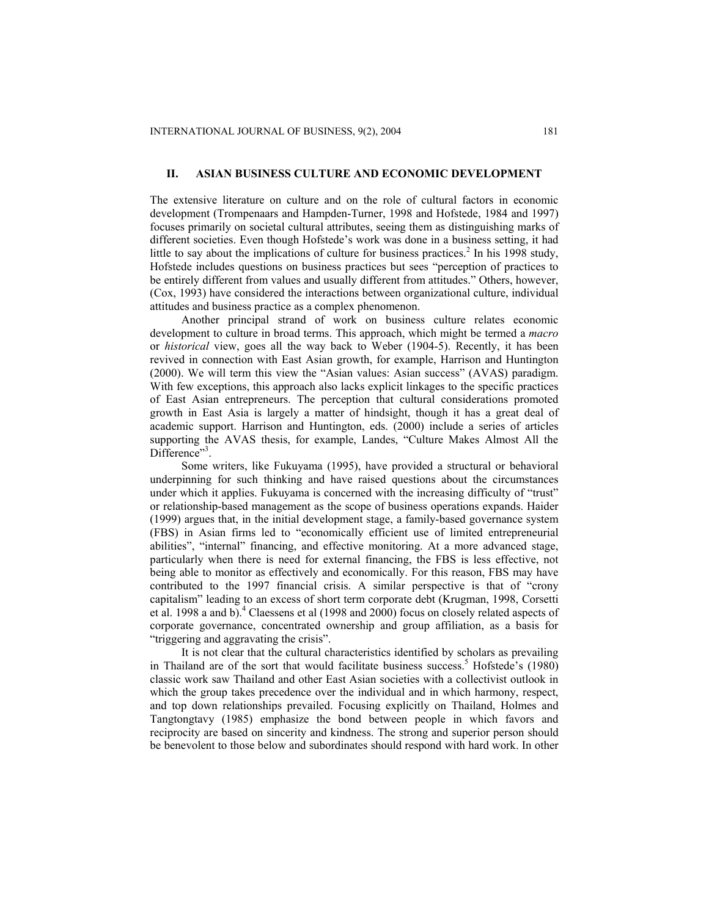## **II. ASIAN BUSINESS CULTURE AND ECONOMIC DEVELOPMENT**

The extensive literature on culture and on the role of cultural factors in economic development (Trompenaars and Hampden-Turner, 1998 and Hofstede, 1984 and 1997) focuses primarily on societal cultural attributes, seeing them as distinguishing marks of different societies. Even though Hofstede's work was done in a business setting, it had little to say about the implications of culture for business practices.<sup>2</sup> In his 1998 study, Hofstede includes questions on business practices but sees "perception of practices to be entirely different from values and usually different from attitudes." Others, however, (Cox, 1993) have considered the interactions between organizational culture, individual attitudes and business practice as a complex phenomenon.

Another principal strand of work on business culture relates economic development to culture in broad terms. This approach, which might be termed a *macro* or *historical* view, goes all the way back to Weber (1904-5). Recently, it has been revived in connection with East Asian growth, for example, Harrison and Huntington (2000). We will term this view the "Asian values: Asian success" (AVAS) paradigm. With few exceptions, this approach also lacks explicit linkages to the specific practices of East Asian entrepreneurs. The perception that cultural considerations promoted growth in East Asia is largely a matter of hindsight, though it has a great deal of academic support. Harrison and Huntington, eds. (2000) include a series of articles supporting the AVAS thesis, for example, Landes, "Culture Makes Almost All the Difference"<sup>3</sup>.

Some writers, like Fukuyama (1995), have provided a structural or behavioral underpinning for such thinking and have raised questions about the circumstances under which it applies. Fukuyama is concerned with the increasing difficulty of "trust" or relationship-based management as the scope of business operations expands. Haider (1999) argues that, in the initial development stage, a family-based governance system (FBS) in Asian firms led to "economically efficient use of limited entrepreneurial abilities", "internal" financing, and effective monitoring. At a more advanced stage, particularly when there is need for external financing, the FBS is less effective, not being able to monitor as effectively and economically. For this reason, FBS may have contributed to the 1997 financial crisis. A similar perspective is that of "crony capitalism" leading to an excess of short term corporate debt (Krugman, 1998, Corsetti et al. 1998 a and b).<sup>4</sup> Claessens et al (1998 and 2000) focus on closely related aspects of corporate governance, concentrated ownership and group affiliation, as a basis for "triggering and aggravating the crisis".

It is not clear that the cultural characteristics identified by scholars as prevailing in Thailand are of the sort that would facilitate business success.<sup>5</sup> Hofstede's  $(1980)$ classic work saw Thailand and other East Asian societies with a collectivist outlook in which the group takes precedence over the individual and in which harmony, respect, and top down relationships prevailed. Focusing explicitly on Thailand, Holmes and Tangtongtavy (1985) emphasize the bond between people in which favors and reciprocity are based on sincerity and kindness. The strong and superior person should be benevolent to those below and subordinates should respond with hard work. In other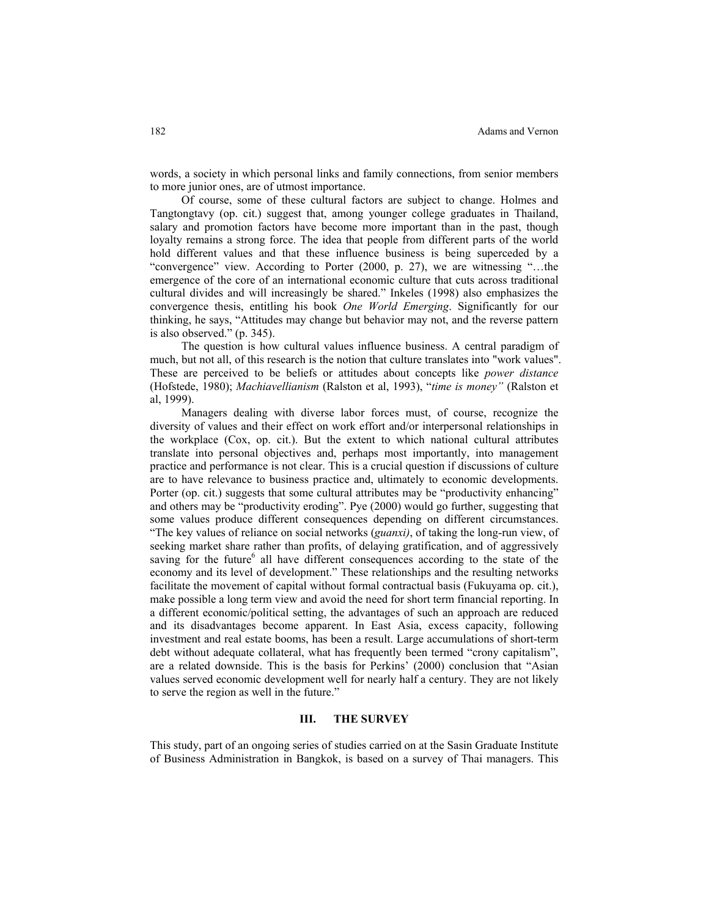words, a society in which personal links and family connections, from senior members to more junior ones, are of utmost importance.

Of course, some of these cultural factors are subject to change. Holmes and Tangtongtavy (op. cit.) suggest that, among younger college graduates in Thailand, salary and promotion factors have become more important than in the past, though loyalty remains a strong force. The idea that people from different parts of the world hold different values and that these influence business is being superceded by a "convergence" view. According to Porter (2000, p. 27), we are witnessing "…the emergence of the core of an international economic culture that cuts across traditional cultural divides and will increasingly be shared." Inkeles (1998) also emphasizes the convergence thesis, entitling his book *One World Emerging*. Significantly for our thinking, he says, "Attitudes may change but behavior may not, and the reverse pattern is also observed." (p. 345).

The question is how cultural values influence business. A central paradigm of much, but not all, of this research is the notion that culture translates into "work values". These are perceived to be beliefs or attitudes about concepts like *power distance* (Hofstede, 1980); *Machiavellianism* (Ralston et al, 1993), "*time is money"* (Ralston et al, 1999).

Managers dealing with diverse labor forces must, of course, recognize the diversity of values and their effect on work effort and/or interpersonal relationships in the workplace (Cox, op. cit.). But the extent to which national cultural attributes translate into personal objectives and, perhaps most importantly, into management practice and performance is not clear. This is a crucial question if discussions of culture are to have relevance to business practice and, ultimately to economic developments. Porter (op. cit.) suggests that some cultural attributes may be "productivity enhancing" and others may be "productivity eroding". Pye (2000) would go further, suggesting that some values produce different consequences depending on different circumstances. "The key values of reliance on social networks (*guanxi)*, of taking the long-run view, of seeking market share rather than profits, of delaying gratification, and of aggressively saving for the future<sup>6</sup> all have different consequences according to the state of the economy and its level of development." These relationships and the resulting networks facilitate the movement of capital without formal contractual basis (Fukuyama op. cit.), make possible a long term view and avoid the need for short term financial reporting. In a different economic/political setting, the advantages of such an approach are reduced and its disadvantages become apparent. In East Asia, excess capacity, following investment and real estate booms, has been a result. Large accumulations of short-term debt without adequate collateral, what has frequently been termed "crony capitalism", are a related downside. This is the basis for Perkins' (2000) conclusion that "Asian values served economic development well for nearly half a century. They are not likely to serve the region as well in the future."

## **III. THE SURVEY**

This study, part of an ongoing series of studies carried on at the Sasin Graduate Institute of Business Administration in Bangkok, is based on a survey of Thai managers. This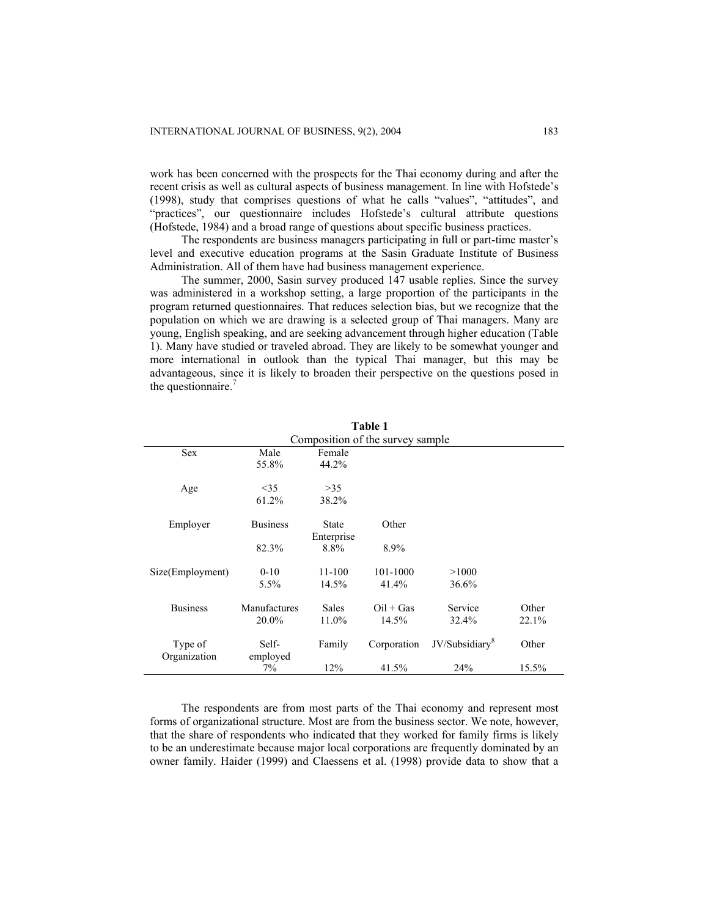work has been concerned with the prospects for the Thai economy during and after the recent crisis as well as cultural aspects of business management. In line with Hofstede's (1998), study that comprises questions of what he calls "values", "attitudes", and "practices", our questionnaire includes Hofstede's cultural attribute questions (Hofstede, 1984) and a broad range of questions about specific business practices.

The respondents are business managers participating in full or part-time master's level and executive education programs at the Sasin Graduate Institute of Business Administration. All of them have had business management experience.

The summer, 2000, Sasin survey produced 147 usable replies. Since the survey was administered in a workshop setting, a large proportion of the participants in the program returned questionnaires. That reduces selection bias, but we recognize that the population on which we are drawing is a selected group of Thai managers. Many are young, English speaking, and are seeking advancement through higher education (Table 1). Many have studied or traveled abroad. They are likely to be somewhat younger and more international in outlook than the typical Thai manager, but this may be advantageous, since it is likely to broaden their perspective on the questions posed in the questionnaire. $<sup>7</sup>$ </sup>

|                         |                   |                            | Table 1                          |                            |       |
|-------------------------|-------------------|----------------------------|----------------------------------|----------------------------|-------|
|                         |                   |                            | Composition of the survey sample |                            |       |
| <b>Sex</b>              | Male              | Female                     |                                  |                            |       |
|                         | 55.8%             | 44.2%                      |                                  |                            |       |
| Age                     | <35               | >35                        |                                  |                            |       |
|                         | 61.2%             | 38.2%                      |                                  |                            |       |
| Employer                | <b>Business</b>   | <b>State</b><br>Enterprise | Other                            |                            |       |
|                         | 82.3%             | 8.8%                       | 8.9%                             |                            |       |
| Size(Employment)        | $0 - 10$          | 11-100                     | 101-1000                         | >1000                      |       |
|                         | $5.5\%$           | 14.5%                      | 41.4%                            | 36.6%                      |       |
| <b>Business</b>         | Manufactures      | <b>Sales</b>               | $Oil + Gas$                      | Service                    | Other |
|                         | 20.0%             | 11.0%                      | 14.5%                            | 32.4%                      | 22.1% |
| Type of<br>Organization | Self-<br>employed | Family                     | Corporation                      | JV/Subsidiary <sup>8</sup> | Other |
|                         | 7%                | 12%                        | 41.5%                            | 24%                        | 15.5% |

**Table 1** 

The respondents are from most parts of the Thai economy and represent most forms of organizational structure. Most are from the business sector. We note, however, that the share of respondents who indicated that they worked for family firms is likely to be an underestimate because major local corporations are frequently dominated by an owner family. Haider (1999) and Claessens et al. (1998) provide data to show that a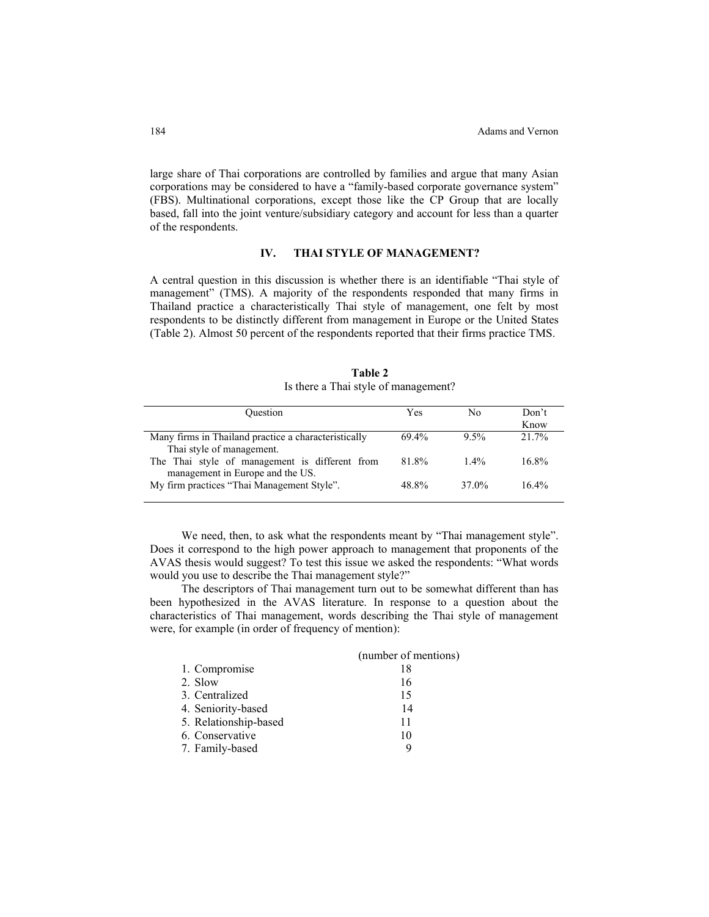large share of Thai corporations are controlled by families and argue that many Asian corporations may be considered to have a "family-based corporate governance system" (FBS). Multinational corporations, except those like the CP Group that are locally based, fall into the joint venture/subsidiary category and account for less than a quarter of the respondents.

## **IV. THAI STYLE OF MANAGEMENT?**

A central question in this discussion is whether there is an identifiable "Thai style of management" (TMS). A majority of the respondents responded that many firms in Thailand practice a characteristically Thai style of management, one felt by most respondents to be distinctly different from management in Europe or the United States (Table 2). Almost 50 percent of the respondents reported that their firms practice TMS.

| Table 2                              |
|--------------------------------------|
| Is there a Thai style of management? |

| Ouestion                                                                           | Yes   | Nο      | Don't<br>Know |
|------------------------------------------------------------------------------------|-------|---------|---------------|
| Many firms in Thailand practice a characteristically                               | 69.4% | $9.5\%$ | $21.7\%$      |
| Thai style of management.                                                          | 81.8% | $1.4\%$ | $16.8\%$      |
| The Thai style of management is different from<br>management in Europe and the US. |       |         |               |
| My firm practices "Thai Management Style".                                         | 48.8% | 37.0%   | $16.4\%$      |

We need, then, to ask what the respondents meant by "Thai management style". Does it correspond to the high power approach to management that proponents of the AVAS thesis would suggest? To test this issue we asked the respondents: "What words would you use to describe the Thai management style?"

The descriptors of Thai management turn out to be somewhat different than has been hypothesized in the AVAS literature. In response to a question about the characteristics of Thai management, words describing the Thai style of management were, for example (in order of frequency of mention):

|                       | (number of mentions) |
|-----------------------|----------------------|
| 1. Compromise         | 18                   |
| 2. Slow               | 16                   |
| 3. Centralized        | 15                   |
| 4. Seniority-based    | 14                   |
| 5. Relationship-based | 11                   |
| 6. Conservative       | 10                   |
| 7. Family-based       | Q                    |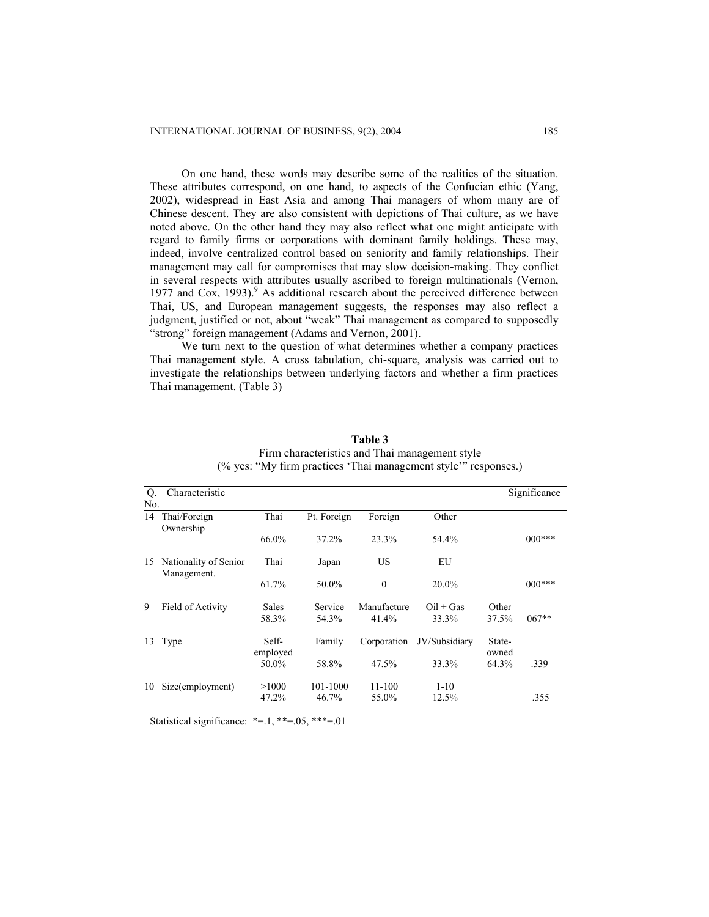On one hand, these words may describe some of the realities of the situation. These attributes correspond, on one hand, to aspects of the Confucian ethic (Yang, 2002), widespread in East Asia and among Thai managers of whom many are of Chinese descent. They are also consistent with depictions of Thai culture, as we have noted above. On the other hand they may also reflect what one might anticipate with regard to family firms or corporations with dominant family holdings. These may, indeed, involve centralized control based on seniority and family relationships. Their management may call for compromises that may slow decision-making. They conflict in several respects with attributes usually ascribed to foreign multinationals (Vernon, 1977 and Cox, 1993).<sup>9</sup> As additional research about the perceived difference between Thai, US, and European management suggests, the responses may also reflect a judgment, justified or not, about "weak" Thai management as compared to supposedly "strong" foreign management (Adams and Vernon, 2001).

We turn next to the question of what determines whether a company practices Thai management style. A cross tabulation, chi-square, analysis was carried out to investigate the relationships between underlying factors and whether a firm practices Thai management. (Table 3)

| Q.<br>No. | Characteristic                       |                   |             |              |               |                 | Significance |
|-----------|--------------------------------------|-------------------|-------------|--------------|---------------|-----------------|--------------|
| 14        | Thai/Foreign<br>Ownership            | Thai              | Pt. Foreign | Foreign      | Other         |                 |              |
|           |                                      | 66.0%             | 37.2%       | 23.3%        | 54.4%         |                 | $000***$     |
| 15        | Nationality of Senior<br>Management. | Thai              | Japan       | US           | EU            |                 |              |
|           |                                      | 61.7%             | 50.0%       | $\mathbf{0}$ | $20.0\%$      |                 | $000***$     |
| 9         | Field of Activity                    | <b>Sales</b>      | Service     | Manufacture  | $Oil + Gas$   | Other           |              |
|           |                                      | 58.3%             | 54.3%       | 41.4%        | 33.3%         | 37.5%           | $067**$      |
| 13        | Type                                 | Self-<br>employed | Family      | Corporation  | JV/Subsidiary | State-<br>owned |              |
|           |                                      | 50.0%             | 58.8%       | 47.5%        | 33.3%         | 64.3%           | .339         |
| 10        | Size(employment)                     | >1000             | 101-1000    | $11 - 100$   | $1 - 10$      |                 |              |
|           |                                      | 47.2%             | 46.7%       | 55.0%        | 12.5%         |                 | .355         |

**Table 3**  Firm characteristics and Thai management style (% yes: "My firm practices 'Thai management style'" responses.)

Statistical significance:  $*=1, **=0.05, **=0.01$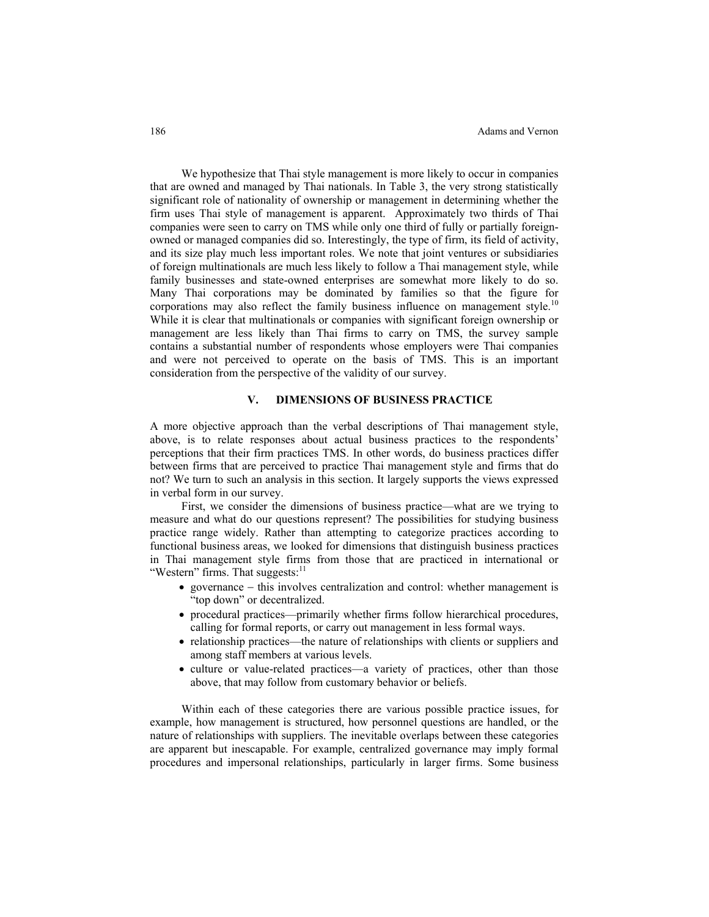We hypothesize that Thai style management is more likely to occur in companies that are owned and managed by Thai nationals. In Table 3, the very strong statistically significant role of nationality of ownership or management in determining whether the firm uses Thai style of management is apparent. Approximately two thirds of Thai companies were seen to carry on TMS while only one third of fully or partially foreignowned or managed companies did so. Interestingly, the type of firm, its field of activity, and its size play much less important roles. We note that joint ventures or subsidiaries of foreign multinationals are much less likely to follow a Thai management style, while family businesses and state-owned enterprises are somewhat more likely to do so. Many Thai corporations may be dominated by families so that the figure for corporations may also reflect the family business influence on management style.<sup>10</sup> While it is clear that multinationals or companies with significant foreign ownership or management are less likely than Thai firms to carry on TMS, the survey sample contains a substantial number of respondents whose employers were Thai companies and were not perceived to operate on the basis of TMS. This is an important consideration from the perspective of the validity of our survey.

## **V. DIMENSIONS OF BUSINESS PRACTICE**

A more objective approach than the verbal descriptions of Thai management style, above, is to relate responses about actual business practices to the respondents' perceptions that their firm practices TMS. In other words, do business practices differ between firms that are perceived to practice Thai management style and firms that do not? We turn to such an analysis in this section. It largely supports the views expressed in verbal form in our survey.

First, we consider the dimensions of business practice—what are we trying to measure and what do our questions represent? The possibilities for studying business practice range widely. Rather than attempting to categorize practices according to functional business areas, we looked for dimensions that distinguish business practices in Thai management style firms from those that are practiced in international or "Western" firms. That suggests: $11$ 

- governance − this involves centralization and control: whether management is "top down" or decentralized.
- procedural practices—primarily whether firms follow hierarchical procedures, calling for formal reports, or carry out management in less formal ways.
- relationship practices—the nature of relationships with clients or suppliers and among staff members at various levels.
- culture or value-related practices—a variety of practices, other than those above, that may follow from customary behavior or beliefs.

Within each of these categories there are various possible practice issues, for example, how management is structured, how personnel questions are handled, or the nature of relationships with suppliers. The inevitable overlaps between these categories are apparent but inescapable. For example, centralized governance may imply formal procedures and impersonal relationships, particularly in larger firms. Some business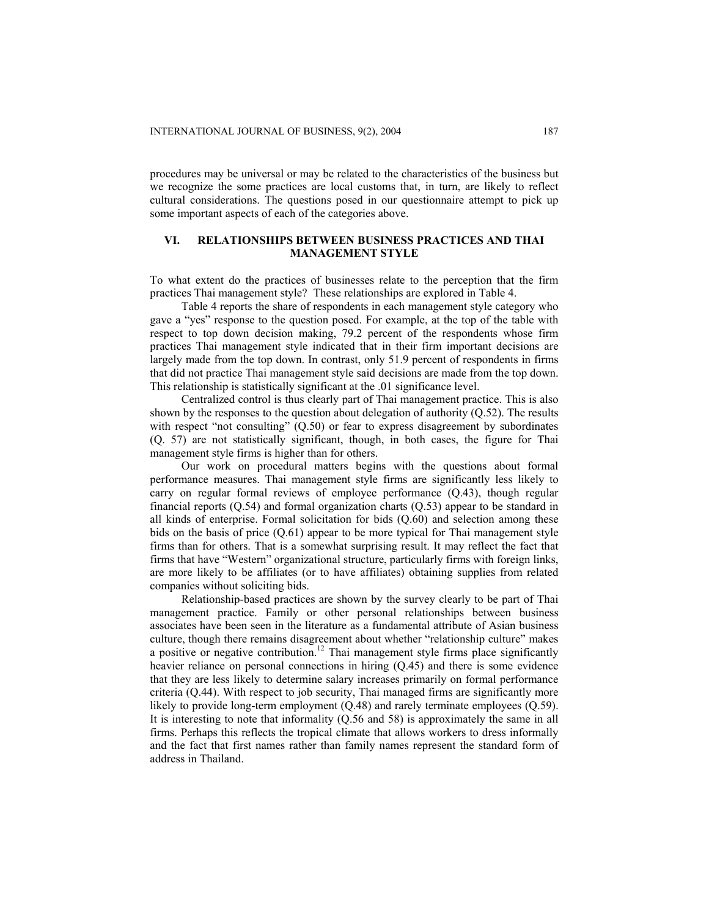procedures may be universal or may be related to the characteristics of the business but we recognize the some practices are local customs that, in turn, are likely to reflect cultural considerations. The questions posed in our questionnaire attempt to pick up some important aspects of each of the categories above.

## **VI. RELATIONSHIPS BETWEEN BUSINESS PRACTICES AND THAI MANAGEMENT STYLE**

To what extent do the practices of businesses relate to the perception that the firm practices Thai management style? These relationships are explored in Table 4.

Table 4 reports the share of respondents in each management style category who gave a "yes" response to the question posed. For example, at the top of the table with respect to top down decision making, 79.2 percent of the respondents whose firm practices Thai management style indicated that in their firm important decisions are largely made from the top down. In contrast, only 51.9 percent of respondents in firms that did not practice Thai management style said decisions are made from the top down. This relationship is statistically significant at the .01 significance level.

Centralized control is thus clearly part of Thai management practice. This is also shown by the responses to the question about delegation of authority (Q.52). The results with respect "not consulting" (Q.50) or fear to express disagreement by subordinates (Q. 57) are not statistically significant, though, in both cases, the figure for Thai management style firms is higher than for others.

Our work on procedural matters begins with the questions about formal performance measures. Thai management style firms are significantly less likely to carry on regular formal reviews of employee performance (Q.43), though regular financial reports (Q.54) and formal organization charts (Q.53) appear to be standard in all kinds of enterprise. Formal solicitation for bids (Q.60) and selection among these bids on the basis of price (Q.61) appear to be more typical for Thai management style firms than for others. That is a somewhat surprising result. It may reflect the fact that firms that have "Western" organizational structure, particularly firms with foreign links, are more likely to be affiliates (or to have affiliates) obtaining supplies from related companies without soliciting bids.

Relationship-based practices are shown by the survey clearly to be part of Thai management practice. Family or other personal relationships between business associates have been seen in the literature as a fundamental attribute of Asian business culture, though there remains disagreement about whether "relationship culture" makes a positive or negative contribution.<sup>12</sup> Thai management style firms place significantly heavier reliance on personal connections in hiring (Q.45) and there is some evidence that they are less likely to determine salary increases primarily on formal performance criteria (Q.44). With respect to job security, Thai managed firms are significantly more likely to provide long-term employment (Q.48) and rarely terminate employees (Q.59). It is interesting to note that informality (Q.56 and 58) is approximately the same in all firms. Perhaps this reflects the tropical climate that allows workers to dress informally and the fact that first names rather than family names represent the standard form of address in Thailand.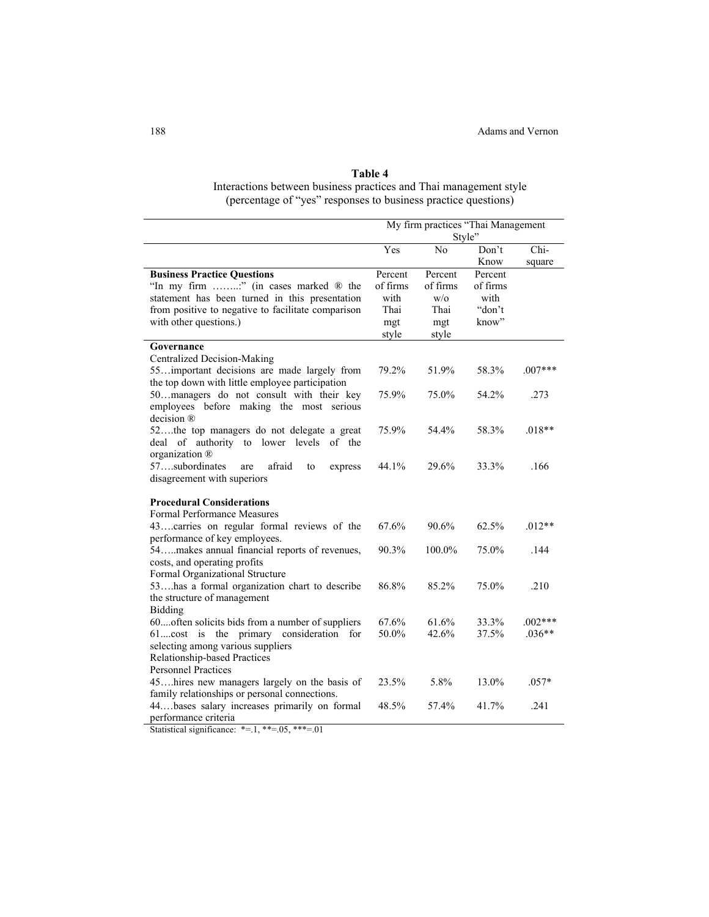## **Table 4**

Interactions between business practices and Thai management style (percentage of "yes" responses to business practice questions)

|                                                                              |              | My firm practices "Thai Management<br>Style" |          |           |
|------------------------------------------------------------------------------|--------------|----------------------------------------------|----------|-----------|
|                                                                              | Yes          | No                                           | Don't    | Chi-      |
|                                                                              |              |                                              | Know     | square    |
| <b>Business Practice Questions</b>                                           | Percent      | Percent                                      | Percent  |           |
| "In my firm " (in cases marked ® the                                         | of firms     | of firms                                     | of firms |           |
| statement has been turned in this presentation                               | with         | W/O                                          | with     |           |
| from positive to negative to facilitate comparison                           | Thai         | Thai                                         | "don't   |           |
| with other questions.)                                                       | mgt<br>style | mgt<br>style                                 | know"    |           |
| Governance                                                                   |              |                                              |          |           |
| Centralized Decision-Making                                                  |              |                                              |          |           |
| 55important decisions are made largely from                                  | 79.2%        | 51.9%                                        | 58.3%    | $.007***$ |
| the top down with little employee participation                              |              |                                              |          |           |
| 50. managers do not consult with their key                                   | 75.9%        | 75.0%                                        | 54.2%    | .273      |
| employees before making the most serious<br>decision ®                       |              |                                              |          |           |
| 52the top managers do not delegate a great                                   | 75.9%        | 54.4%                                        | 58.3%    | $.018**$  |
| deal of authority to lower levels of the                                     |              |                                              |          |           |
| organization ®                                                               |              |                                              |          |           |
| 57subordinates<br>afraid<br>are<br>express<br>to                             | 44.1%        | 29.6%                                        | 33.3%    | .166      |
| disagreement with superiors                                                  |              |                                              |          |           |
|                                                                              |              |                                              |          |           |
| <b>Procedural Considerations</b>                                             |              |                                              |          |           |
| <b>Formal Performance Measures</b>                                           |              |                                              |          |           |
| 43carries on regular formal reviews of the                                   | 67.6%        | 90.6%                                        | 62.5%    | $.012**$  |
| performance of key employees.                                                |              |                                              |          |           |
| 54makes annual financial reports of revenues,                                | 90.3%        | 100.0%                                       | 75.0%    | .144      |
| costs, and operating profits                                                 |              |                                              |          |           |
| Formal Organizational Structure                                              | 86.8%        | 85.2%                                        | 75.0%    | .210      |
| 53has a formal organization chart to describe<br>the structure of management |              |                                              |          |           |
| <b>Bidding</b>                                                               |              |                                              |          |           |
| 60often solicits bids from a number of suppliers                             | 67.6%        | 61.6%                                        | 33.3%    | $.002***$ |
| 61cost is the primary consideration for                                      | 50.0%        | 42.6%                                        | 37.5%    | $.036**$  |
| selecting among various suppliers                                            |              |                                              |          |           |
| Relationship-based Practices                                                 |              |                                              |          |           |
| <b>Personnel Practices</b>                                                   |              |                                              |          |           |
| 45hires new managers largely on the basis of                                 | 23.5%        | 5.8%                                         | 13.0%    | $.057*$   |
| family relationships or personal connections.                                |              |                                              |          |           |
| 44bases salary increases primarily on formal                                 | 48.5%        | 57.4%                                        | 41.7%    | .241      |
| performance criteria                                                         |              |                                              |          |           |

Statistical significance:  $* = 1, ** = 05, ** = 01$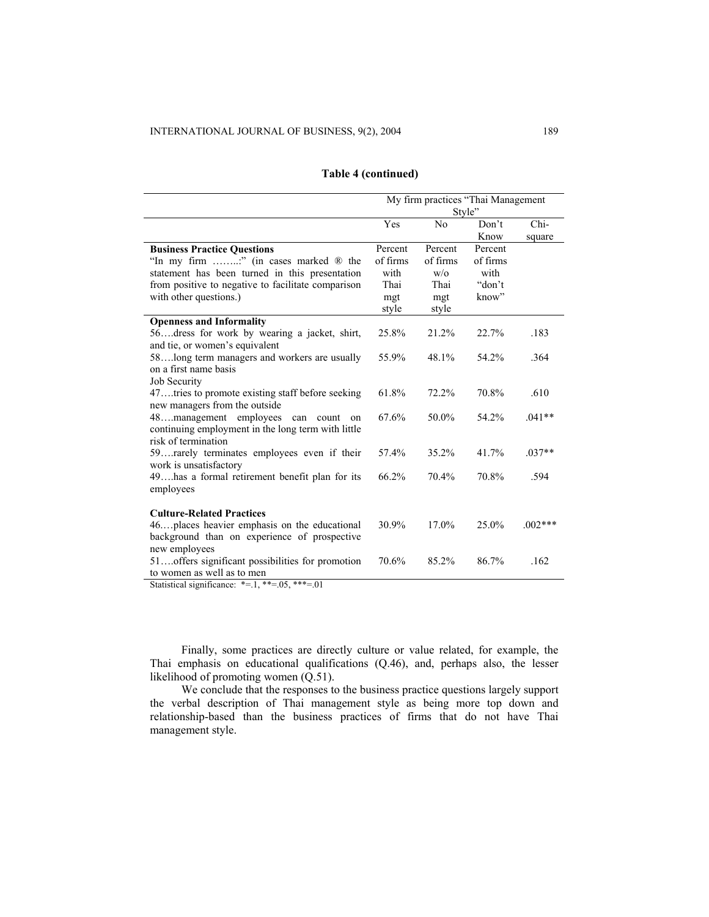|                                                    | My firm practices "Thai Management |                |          |           |
|----------------------------------------------------|------------------------------------|----------------|----------|-----------|
|                                                    |                                    | Style"         |          |           |
|                                                    | Yes                                | N <sub>0</sub> | Don't    | Chi-      |
|                                                    |                                    |                | Know     | square    |
| <b>Business Practice Questions</b>                 | Percent                            | Percent        | Percent  |           |
| "In my firm " (in cases marked ® the               | of firms                           | of firms       | of firms |           |
| statement has been turned in this presentation     | with                               | W/O            | with     |           |
| from positive to negative to facilitate comparison | Thai                               | Thai           | "don't   |           |
| with other questions.)                             | mgt                                | mgt            | know"    |           |
|                                                    | style                              | style          |          |           |
| <b>Openness and Informality</b>                    |                                    |                |          |           |
| 56dress for work by wearing a jacket, shirt,       | 25.8%                              | 21.2%          | 22.7%    | .183      |
| and tie, or women's equivalent                     |                                    |                |          |           |
| 58 long term managers and workers are usually      | 55.9%                              | 48.1%          | 54.2%    | .364      |
| on a first name basis                              |                                    |                |          |           |
| Job Security                                       |                                    |                |          |           |
| 47tries to promote existing staff before seeking   | 61.8%                              | 72.2%          | 70.8%    | .610      |
| new managers from the outside                      |                                    |                |          |           |
| 48management employees<br>can<br>count<br>on       | 67.6%                              | 50.0%          | 54.2%    | $.041**$  |
| continuing employment in the long term with little |                                    |                |          |           |
| risk of termination                                |                                    |                |          |           |
| 59rarely terminates employees even if their        | 57.4%                              | 35.2%          | 41.7%    | $.037**$  |
| work is unsatisfactory                             |                                    |                |          |           |
| 49ahs a formal retirement benefit plan for its     | 66.2%                              | 70.4%          | 70.8%    | .594      |
| employees                                          |                                    |                |          |           |
|                                                    |                                    |                |          |           |
| <b>Culture-Related Practices</b>                   |                                    |                |          |           |
| 46places heavier emphasis on the educational       | 30.9%                              | 17.0%          | 25.0%    | $.002***$ |
| background than on experience of prospective       |                                    |                |          |           |
| new employees                                      |                                    |                |          |           |
| 51offers significant possibilities for promotion   | 70.6%                              | 85.2%          | 86.7%    | .162      |
| to women as well as to men                         |                                    |                |          |           |

## **Table 4 (continued)**

Statistical significance:  $*=1, **=0.05, **=0.01$ 

Finally, some practices are directly culture or value related, for example, the Thai emphasis on educational qualifications (Q.46), and, perhaps also, the lesser likelihood of promoting women (Q.51).

We conclude that the responses to the business practice questions largely support the verbal description of Thai management style as being more top down and relationship-based than the business practices of firms that do not have Thai management style.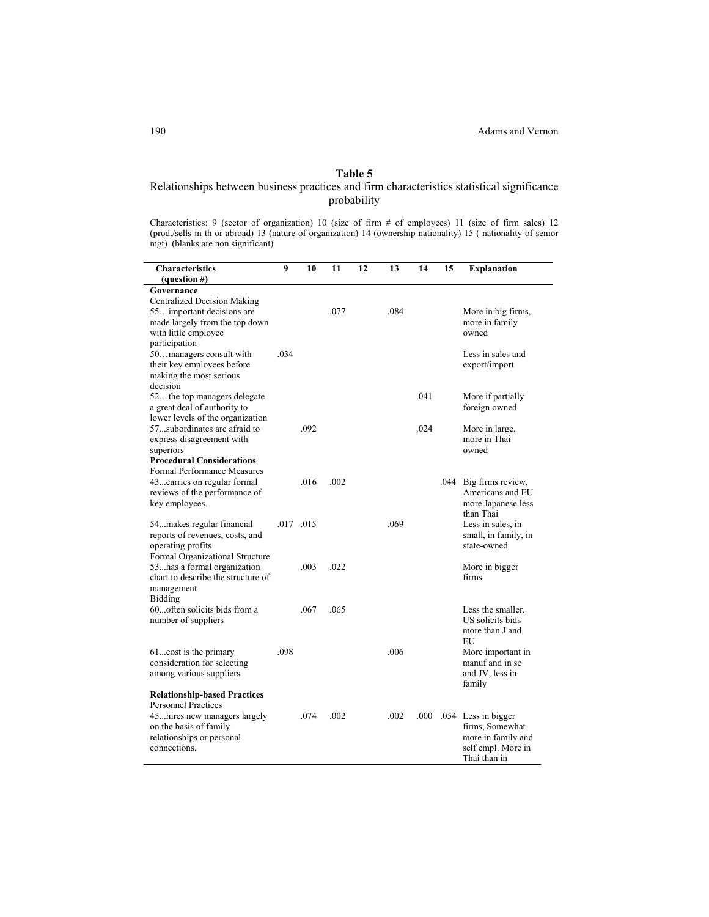## **Table 5**

## Relationships between business practices and firm characteristics statistical significance probability

Characteristics: 9 (sector of organization) 10 (size of firm # of employees) 11 (size of firm sales) 12 (prod./sells in th or abroad) 13 (nature of organization) 14 (ownership nationality) 15 ( nationality of senior mgt) (blanks are non significant)

| More in big firms,<br>more in family<br>owned<br>Less in sales and                 |
|------------------------------------------------------------------------------------|
|                                                                                    |
| export/import                                                                      |
| More if partially<br>foreign owned                                                 |
| More in large,<br>more in Thai<br>owned                                            |
| Big firms review,<br>Americans and EU<br>more Japanese less                        |
| than Thai<br>Less in sales, in<br>small, in family, in<br>state-owned              |
| More in bigger<br>firms                                                            |
| Less the smaller,<br>US solicits bids<br>more than J and<br>EU                     |
| More important in<br>manuf and in se<br>and JV, less in<br>family                  |
| .054 Less in bigger<br>firms, Somewhat<br>more in family and<br>self empl. More in |
| Thai than in                                                                       |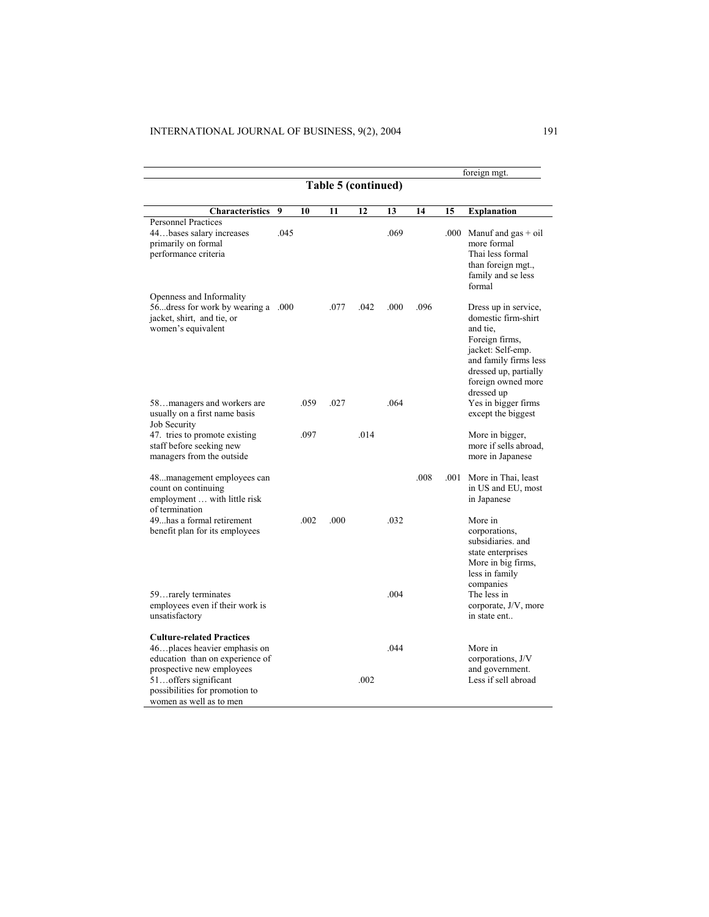|                                                                                                                                                                                                                        |      |      |      |      |      |      |      | foreign mgt.                                                                                                                                                                         |
|------------------------------------------------------------------------------------------------------------------------------------------------------------------------------------------------------------------------|------|------|------|------|------|------|------|--------------------------------------------------------------------------------------------------------------------------------------------------------------------------------------|
| Table 5 (continued)                                                                                                                                                                                                    |      |      |      |      |      |      |      |                                                                                                                                                                                      |
| Characteristics                                                                                                                                                                                                        | 9    | 10   | 11   | 12   | 13   | 14   | 15   | <b>Explanation</b>                                                                                                                                                                   |
| <b>Personnel Practices</b><br>44bases salary increases<br>primarily on formal<br>performance criteria                                                                                                                  | .045 |      |      |      | .069 |      | .000 | Manuf and $gas + oil$<br>more formal<br>Thai less formal<br>than foreign mgt.,<br>family and se less<br>formal                                                                       |
| Openness and Informality<br>56. dress for work by wearing a .000<br>jacket, shirt, and tie, or<br>women's equivalent                                                                                                   |      |      | .077 | .042 | .000 | .096 |      | Dress up in service,<br>domestic firm-shirt<br>and tie.<br>Foreign firms,<br>jacket: Self-emp.<br>and family firms less<br>dressed up, partially<br>foreign owned more<br>dressed up |
| 58managers and workers are<br>usually on a first name basis<br>Job Security                                                                                                                                            |      | .059 | .027 |      | .064 |      |      | Yes in bigger firms<br>except the biggest                                                                                                                                            |
| 47. tries to promote existing<br>staff before seeking new<br>managers from the outside                                                                                                                                 |      | .097 |      | .014 |      |      |      | More in bigger,<br>more if sells abroad.<br>more in Japanese                                                                                                                         |
| 48management employees can<br>count on continuing<br>employment  with little risk<br>of termination                                                                                                                    |      |      |      |      |      | .008 | .001 | More in Thai, least<br>in US and EU, most<br>in Japanese                                                                                                                             |
| 49has a formal retirement<br>benefit plan for its employees                                                                                                                                                            |      | .002 | .000 |      | .032 |      |      | More in<br>corporations.<br>subsidiaries, and<br>state enterprises<br>More in big firms,<br>less in family<br>companies                                                              |
| 59. rarely terminates<br>employees even if their work is<br>unsatisfactory                                                                                                                                             |      |      |      |      | .004 |      |      | The less in<br>corporate, J/V, more<br>in state ent                                                                                                                                  |
| <b>Culture-related Practices</b><br>46 places heavier emphasis on<br>education than on experience of<br>prospective new employees<br>51offers significant<br>possibilities for promotion to<br>women as well as to men |      |      |      | .002 | .044 |      |      | More in<br>corporations, J/V<br>and government.<br>Less if sell abroad                                                                                                               |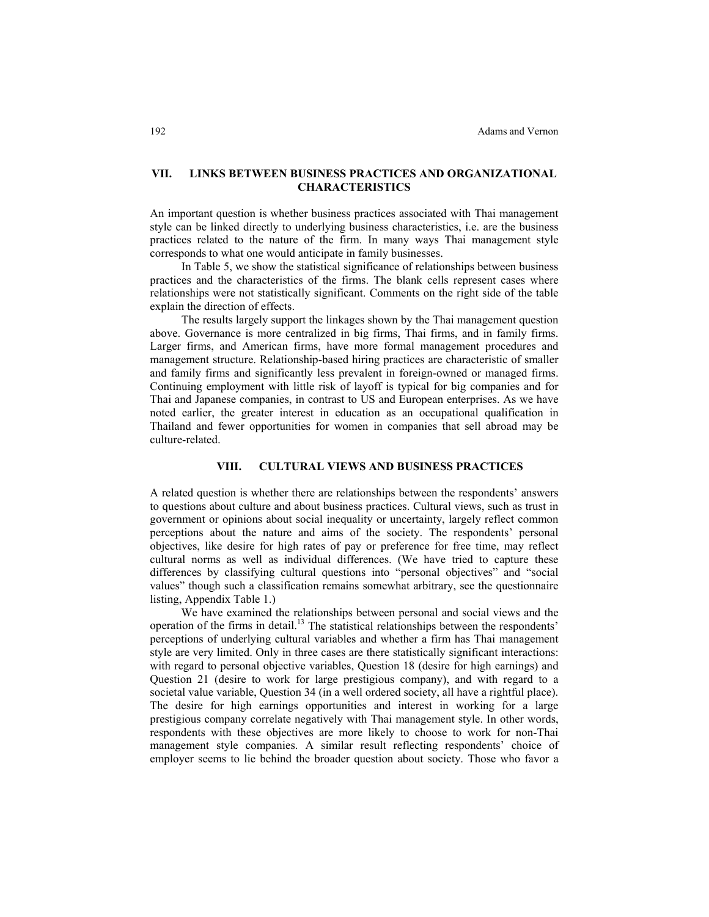## **VII. LINKS BETWEEN BUSINESS PRACTICES AND ORGANIZATIONAL CHARACTERISTICS**

An important question is whether business practices associated with Thai management style can be linked directly to underlying business characteristics, i.e. are the business practices related to the nature of the firm. In many ways Thai management style corresponds to what one would anticipate in family businesses.

In Table 5, we show the statistical significance of relationships between business practices and the characteristics of the firms. The blank cells represent cases where relationships were not statistically significant. Comments on the right side of the table explain the direction of effects.

The results largely support the linkages shown by the Thai management question above. Governance is more centralized in big firms, Thai firms, and in family firms. Larger firms, and American firms, have more formal management procedures and management structure. Relationship-based hiring practices are characteristic of smaller and family firms and significantly less prevalent in foreign-owned or managed firms. Continuing employment with little risk of layoff is typical for big companies and for Thai and Japanese companies, in contrast to US and European enterprises. As we have noted earlier, the greater interest in education as an occupational qualification in Thailand and fewer opportunities for women in companies that sell abroad may be culture-related.

#### **VIII. CULTURAL VIEWS AND BUSINESS PRACTICES**

A related question is whether there are relationships between the respondents' answers to questions about culture and about business practices. Cultural views, such as trust in government or opinions about social inequality or uncertainty, largely reflect common perceptions about the nature and aims of the society. The respondents' personal objectives, like desire for high rates of pay or preference for free time, may reflect cultural norms as well as individual differences. (We have tried to capture these differences by classifying cultural questions into "personal objectives" and "social values" though such a classification remains somewhat arbitrary, see the questionnaire listing, Appendix Table 1.)

We have examined the relationships between personal and social views and the operation of the firms in detail.<sup>13</sup> The statistical relationships between the respondents' perceptions of underlying cultural variables and whether a firm has Thai management style are very limited. Only in three cases are there statistically significant interactions: with regard to personal objective variables, Question 18 (desire for high earnings) and Question 21 (desire to work for large prestigious company), and with regard to a societal value variable, Question 34 (in a well ordered society, all have a rightful place). The desire for high earnings opportunities and interest in working for a large prestigious company correlate negatively with Thai management style. In other words, respondents with these objectives are more likely to choose to work for non-Thai management style companies. A similar result reflecting respondents' choice of employer seems to lie behind the broader question about society. Those who favor a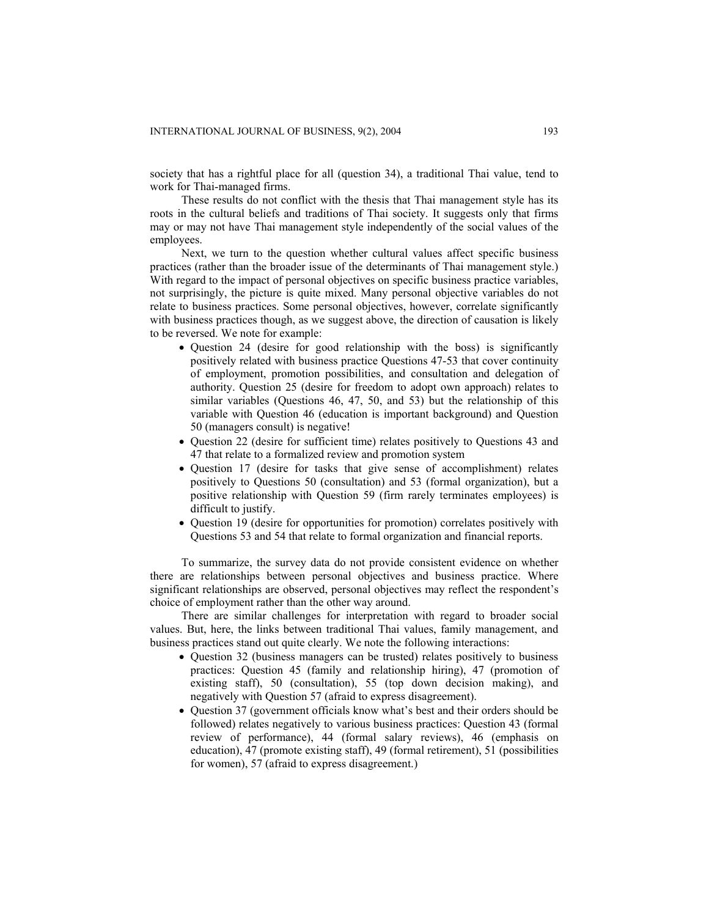society that has a rightful place for all (question 34), a traditional Thai value, tend to work for Thai-managed firms.

These results do not conflict with the thesis that Thai management style has its roots in the cultural beliefs and traditions of Thai society. It suggests only that firms may or may not have Thai management style independently of the social values of the employees.

Next, we turn to the question whether cultural values affect specific business practices (rather than the broader issue of the determinants of Thai management style.) With regard to the impact of personal objectives on specific business practice variables, not surprisingly, the picture is quite mixed. Many personal objective variables do not relate to business practices. Some personal objectives, however, correlate significantly with business practices though, as we suggest above, the direction of causation is likely to be reversed. We note for example:

- Question 24 (desire for good relationship with the boss) is significantly positively related with business practice Questions 47-53 that cover continuity of employment, promotion possibilities, and consultation and delegation of authority. Question 25 (desire for freedom to adopt own approach) relates to similar variables (Questions 46, 47, 50, and 53) but the relationship of this variable with Question 46 (education is important background) and Question 50 (managers consult) is negative!
- Question 22 (desire for sufficient time) relates positively to Questions 43 and 47 that relate to a formalized review and promotion system
- Question 17 (desire for tasks that give sense of accomplishment) relates positively to Questions 50 (consultation) and 53 (formal organization), but a positive relationship with Question 59 (firm rarely terminates employees) is difficult to justify.
- Question 19 (desire for opportunities for promotion) correlates positively with Questions 53 and 54 that relate to formal organization and financial reports.

To summarize, the survey data do not provide consistent evidence on whether there are relationships between personal objectives and business practice. Where significant relationships are observed, personal objectives may reflect the respondent's choice of employment rather than the other way around.

There are similar challenges for interpretation with regard to broader social values. But, here, the links between traditional Thai values, family management, and business practices stand out quite clearly. We note the following interactions:

- Question 32 (business managers can be trusted) relates positively to business practices: Question 45 (family and relationship hiring), 47 (promotion of existing staff), 50 (consultation), 55 (top down decision making), and negatively with Question 57 (afraid to express disagreement).
- Question 37 (government officials know what's best and their orders should be followed) relates negatively to various business practices: Question 43 (formal review of performance), 44 (formal salary reviews), 46 (emphasis on education), 47 (promote existing staff), 49 (formal retirement), 51 (possibilities for women), 57 (afraid to express disagreement.)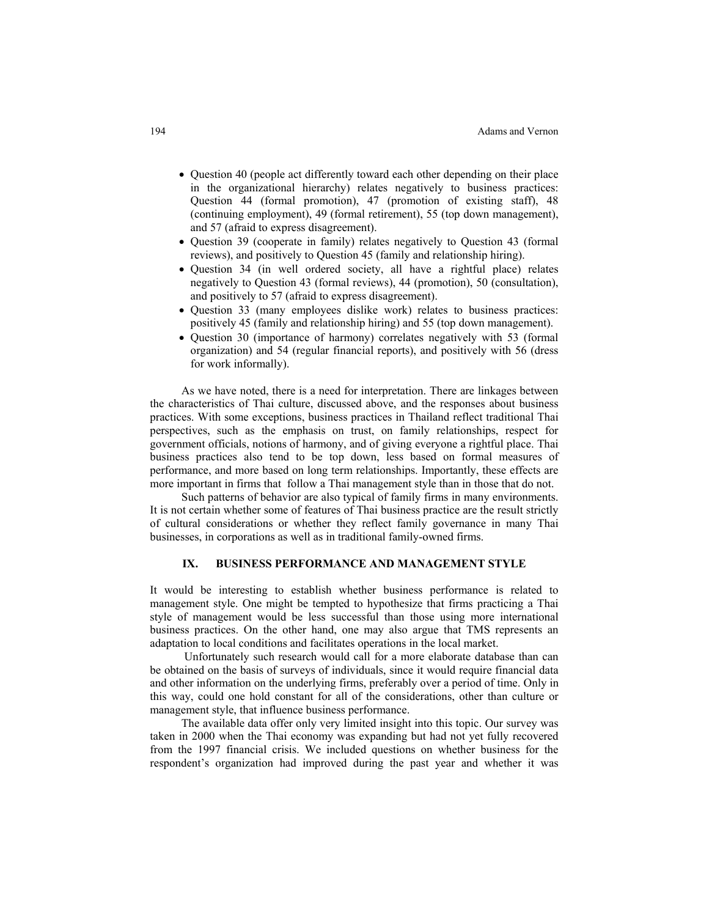- Ouestion 40 (people act differently toward each other depending on their place in the organizational hierarchy) relates negatively to business practices: Question 44 (formal promotion), 47 (promotion of existing staff), 48 (continuing employment), 49 (formal retirement), 55 (top down management), and 57 (afraid to express disagreement).
- Question 39 (cooperate in family) relates negatively to Question 43 (formal reviews), and positively to Question 45 (family and relationship hiring).
- Question 34 (in well ordered society, all have a rightful place) relates negatively to Question 43 (formal reviews), 44 (promotion), 50 (consultation), and positively to 57 (afraid to express disagreement).
- Question 33 (many employees dislike work) relates to business practices: positively 45 (family and relationship hiring) and 55 (top down management).
- Question 30 (importance of harmony) correlates negatively with 53 (formal organization) and 54 (regular financial reports), and positively with 56 (dress for work informally).

As we have noted, there is a need for interpretation. There are linkages between the characteristics of Thai culture, discussed above, and the responses about business practices. With some exceptions, business practices in Thailand reflect traditional Thai perspectives, such as the emphasis on trust, on family relationships, respect for government officials, notions of harmony, and of giving everyone a rightful place. Thai business practices also tend to be top down, less based on formal measures of performance, and more based on long term relationships. Importantly, these effects are more important in firms that follow a Thai management style than in those that do not.

Such patterns of behavior are also typical of family firms in many environments. It is not certain whether some of features of Thai business practice are the result strictly of cultural considerations or whether they reflect family governance in many Thai businesses, in corporations as well as in traditional family-owned firms.

## **IX. BUSINESS PERFORMANCE AND MANAGEMENT STYLE**

It would be interesting to establish whether business performance is related to management style. One might be tempted to hypothesize that firms practicing a Thai style of management would be less successful than those using more international business practices. On the other hand, one may also argue that TMS represents an adaptation to local conditions and facilitates operations in the local market.

 Unfortunately such research would call for a more elaborate database than can be obtained on the basis of surveys of individuals, since it would require financial data and other information on the underlying firms, preferably over a period of time. Only in this way, could one hold constant for all of the considerations, other than culture or management style, that influence business performance.

The available data offer only very limited insight into this topic. Our survey was taken in 2000 when the Thai economy was expanding but had not yet fully recovered from the 1997 financial crisis. We included questions on whether business for the respondent's organization had improved during the past year and whether it was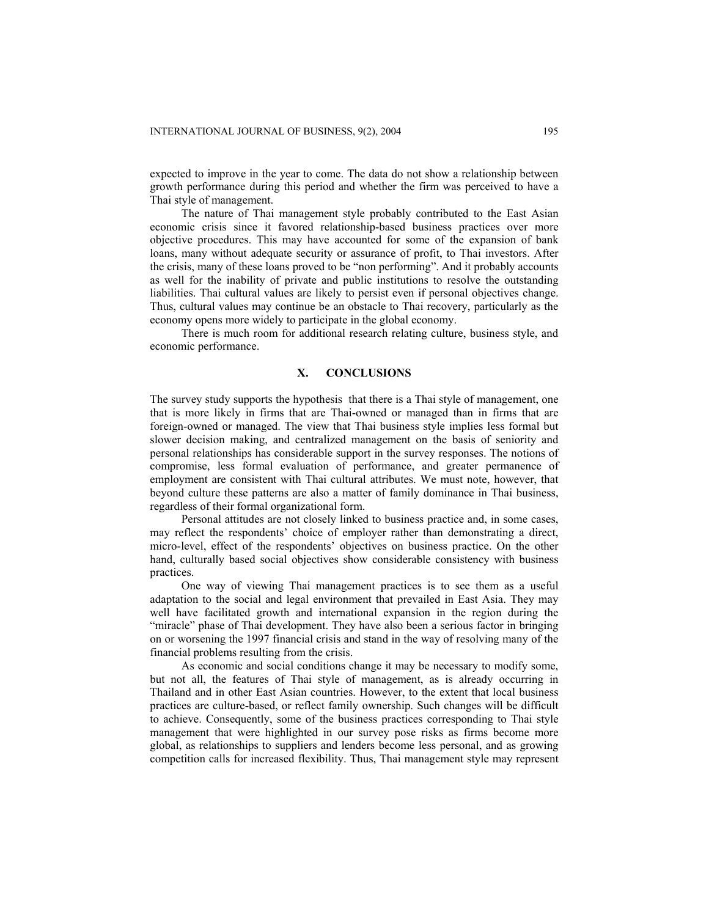expected to improve in the year to come. The data do not show a relationship between growth performance during this period and whether the firm was perceived to have a Thai style of management.

The nature of Thai management style probably contributed to the East Asian economic crisis since it favored relationship-based business practices over more objective procedures. This may have accounted for some of the expansion of bank loans, many without adequate security or assurance of profit, to Thai investors. After the crisis, many of these loans proved to be "non performing". And it probably accounts as well for the inability of private and public institutions to resolve the outstanding liabilities. Thai cultural values are likely to persist even if personal objectives change. Thus, cultural values may continue be an obstacle to Thai recovery, particularly as the economy opens more widely to participate in the global economy.

There is much room for additional research relating culture, business style, and economic performance.

#### **X. CONCLUSIONS**

The survey study supports the hypothesis that there is a Thai style of management, one that is more likely in firms that are Thai-owned or managed than in firms that are foreign-owned or managed. The view that Thai business style implies less formal but slower decision making, and centralized management on the basis of seniority and personal relationships has considerable support in the survey responses. The notions of compromise, less formal evaluation of performance, and greater permanence of employment are consistent with Thai cultural attributes. We must note, however, that beyond culture these patterns are also a matter of family dominance in Thai business, regardless of their formal organizational form.

Personal attitudes are not closely linked to business practice and, in some cases, may reflect the respondents' choice of employer rather than demonstrating a direct, micro-level, effect of the respondents' objectives on business practice. On the other hand, culturally based social objectives show considerable consistency with business practices.

One way of viewing Thai management practices is to see them as a useful adaptation to the social and legal environment that prevailed in East Asia. They may well have facilitated growth and international expansion in the region during the "miracle" phase of Thai development. They have also been a serious factor in bringing on or worsening the 1997 financial crisis and stand in the way of resolving many of the financial problems resulting from the crisis.

As economic and social conditions change it may be necessary to modify some, but not all, the features of Thai style of management, as is already occurring in Thailand and in other East Asian countries. However, to the extent that local business practices are culture-based, or reflect family ownership. Such changes will be difficult to achieve. Consequently, some of the business practices corresponding to Thai style management that were highlighted in our survey pose risks as firms become more global, as relationships to suppliers and lenders become less personal, and as growing competition calls for increased flexibility. Thus, Thai management style may represent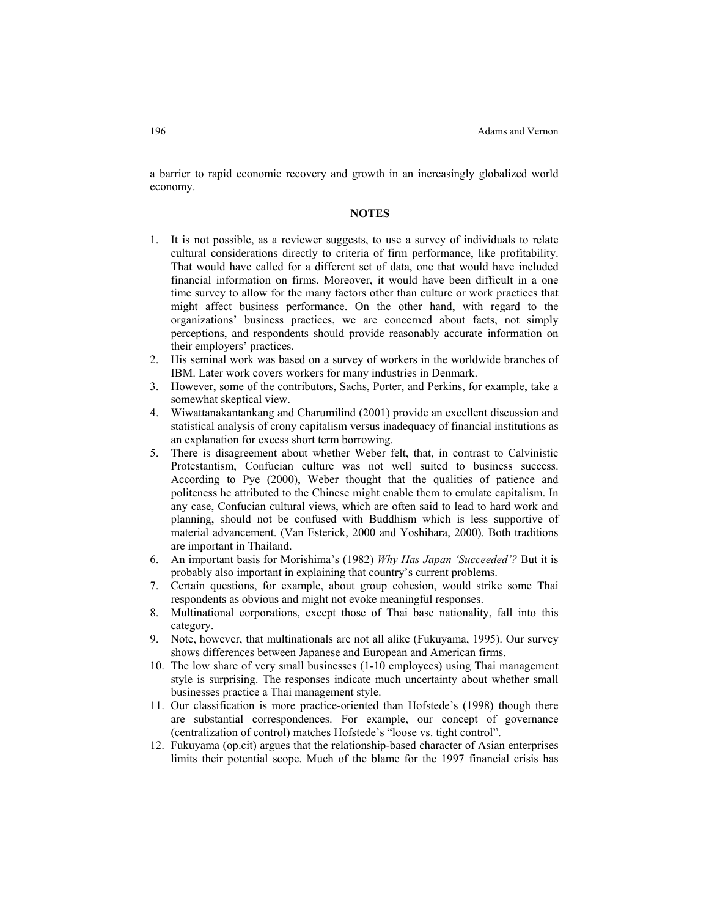a barrier to rapid economic recovery and growth in an increasingly globalized world economy.

#### **NOTES**

- 1. It is not possible, as a reviewer suggests, to use a survey of individuals to relate cultural considerations directly to criteria of firm performance, like profitability. That would have called for a different set of data, one that would have included financial information on firms. Moreover, it would have been difficult in a one time survey to allow for the many factors other than culture or work practices that might affect business performance. On the other hand, with regard to the organizations' business practices, we are concerned about facts, not simply perceptions, and respondents should provide reasonably accurate information on their employers' practices.
- 2. His seminal work was based on a survey of workers in the worldwide branches of IBM. Later work covers workers for many industries in Denmark.
- 3. However, some of the contributors, Sachs, Porter, and Perkins, for example, take a somewhat skeptical view.
- 4. Wiwattanakantankang and Charumilind (2001) provide an excellent discussion and statistical analysis of crony capitalism versus inadequacy of financial institutions as an explanation for excess short term borrowing.
- 5. There is disagreement about whether Weber felt, that, in contrast to Calvinistic Protestantism, Confucian culture was not well suited to business success. According to Pye (2000), Weber thought that the qualities of patience and politeness he attributed to the Chinese might enable them to emulate capitalism. In any case, Confucian cultural views, which are often said to lead to hard work and planning, should not be confused with Buddhism which is less supportive of material advancement. (Van Esterick, 2000 and Yoshihara, 2000). Both traditions are important in Thailand.
- 6. An important basis for Morishima's (1982) *Why Has Japan 'Succeeded'?* But it is probably also important in explaining that country's current problems.
- 7. Certain questions, for example, about group cohesion, would strike some Thai respondents as obvious and might not evoke meaningful responses.
- 8. Multinational corporations, except those of Thai base nationality, fall into this category.
- 9. Note, however, that multinationals are not all alike (Fukuyama, 1995). Our survey shows differences between Japanese and European and American firms.
- 10. The low share of very small businesses (1-10 employees) using Thai management style is surprising. The responses indicate much uncertainty about whether small businesses practice a Thai management style.
- 11. Our classification is more practice-oriented than Hofstede's (1998) though there are substantial correspondences. For example, our concept of governance (centralization of control) matches Hofstede's "loose vs. tight control".
- 12. Fukuyama (op.cit) argues that the relationship-based character of Asian enterprises limits their potential scope. Much of the blame for the 1997 financial crisis has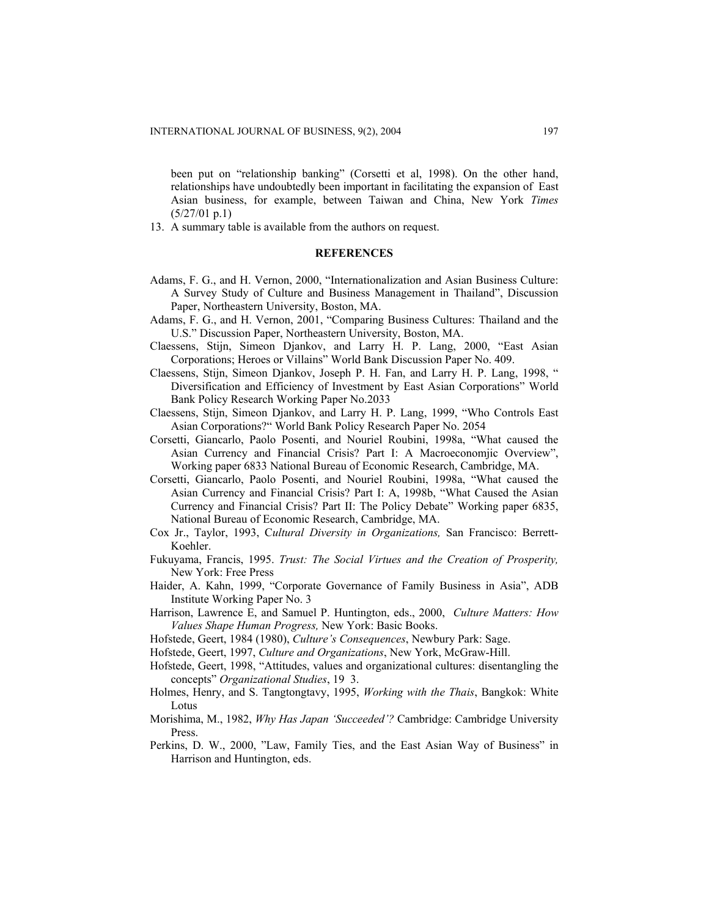been put on "relationship banking" (Corsetti et al, 1998). On the other hand, relationships have undoubtedly been important in facilitating the expansion of East Asian business, for example, between Taiwan and China, New York *Times*  (5/27/01 p.1)

13. A summary table is available from the authors on request.

#### **REFERENCES**

- Adams, F. G., and H. Vernon, 2000, "Internationalization and Asian Business Culture: A Survey Study of Culture and Business Management in Thailand", Discussion Paper, Northeastern University, Boston, MA.
- Adams, F. G., and H. Vernon, 2001, "Comparing Business Cultures: Thailand and the U.S." Discussion Paper, Northeastern University, Boston, MA.
- Claessens, Stijn, Simeon Djankov, and Larry H. P. Lang, 2000, "East Asian Corporations; Heroes or Villains" World Bank Discussion Paper No. 409.
- Claessens, Stijn, Simeon Djankov, Joseph P. H. Fan, and Larry H. P. Lang, 1998, " Diversification and Efficiency of Investment by East Asian Corporations" World Bank Policy Research Working Paper No.2033
- Claessens, Stijn, Simeon Djankov, and Larry H. P. Lang, 1999, "Who Controls East Asian Corporations?" World Bank Policy Research Paper No. 2054
- Corsetti, Giancarlo, Paolo Posenti, and Nouriel Roubini, 1998a, "What caused the Asian Currency and Financial Crisis? Part I: A Macroeconomjic Overview", Working paper 6833 National Bureau of Economic Research, Cambridge, MA.
- Corsetti, Giancarlo, Paolo Posenti, and Nouriel Roubini, 1998a, "What caused the Asian Currency and Financial Crisis? Part I: A, 1998b, "What Caused the Asian Currency and Financial Crisis? Part II: The Policy Debate" Working paper 6835, National Bureau of Economic Research, Cambridge, MA.
- Cox Jr., Taylor, 1993, C*ultural Diversity in Organizations,* San Francisco: Berrett-Koehler.
- Fukuyama, Francis, 1995. *Trust: The Social Virtues and the Creation of Prosperity,*  New York: Free Press
- Haider, A. Kahn, 1999, "Corporate Governance of Family Business in Asia", ADB Institute Working Paper No. 3
- Harrison, Lawrence E, and Samuel P. Huntington, eds., 2000, *Culture Matters: How Values Shape Human Progress,* New York: Basic Books.
- Hofstede, Geert, 1984 (1980), *Culture's Consequences*, Newbury Park: Sage.
- Hofstede, Geert, 1997, *Culture and Organizations*, New York, McGraw-Hill.
- Hofstede, Geert, 1998, "Attitudes, values and organizational cultures: disentangling the concepts" *Organizational Studies*, 19 3.
- Holmes, Henry, and S. Tangtongtavy, 1995, *Working with the Thais*, Bangkok: White Lotus
- Morishima, M., 1982, *Why Has Japan 'Succeeded'?* Cambridge: Cambridge University Press.
- Perkins, D. W., 2000, "Law, Family Ties, and the East Asian Way of Business" in Harrison and Huntington, eds.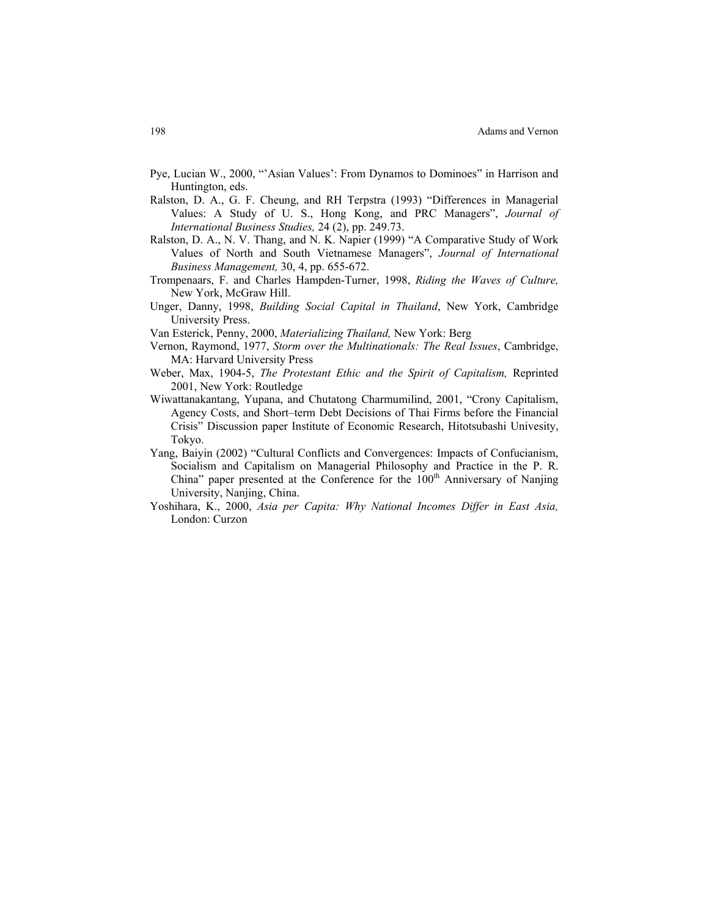- Pye, Lucian W., 2000, "'Asian Values': From Dynamos to Dominoes" in Harrison and Huntington, eds.
- Ralston, D. A., G. F. Cheung, and RH Terpstra (1993) "Differences in Managerial Values: A Study of U. S., Hong Kong, and PRC Managers", *Journal of International Business Studies,* 24 (2), pp. 249.73.
- Ralston, D. A., N. V. Thang, and N. K. Napier (1999) "A Comparative Study of Work Values of North and South Vietnamese Managers", *Journal of International Business Management,* 30, 4, pp. 655-672.
- Trompenaars, F. and Charles Hampden-Turner, 1998, *Riding the Waves of Culture,*  New York, McGraw Hill.
- Unger, Danny, 1998, *Building Social Capital in Thailand*, New York, Cambridge University Press.
- Van Esterick, Penny, 2000, *Materializing Thailand,* New York: Berg
- Vernon, Raymond, 1977, *Storm over the Multinationals: The Real Issues*, Cambridge, MA: Harvard University Press
- Weber, Max, 1904-5, *The Protestant Ethic and the Spirit of Capitalism,* Reprinted 2001, New York: Routledge
- Wiwattanakantang, Yupana, and Chutatong Charmumilind, 2001, "Crony Capitalism, Agency Costs, and Short–term Debt Decisions of Thai Firms before the Financial Crisis" Discussion paper Institute of Economic Research, Hitotsubashi Univesity, Tokyo.
- Yang, Baiyin (2002) "Cultural Conflicts and Convergences: Impacts of Confucianism, Socialism and Capitalism on Managerial Philosophy and Practice in the P. R. China" paper presented at the Conference for the  $100<sup>th</sup>$  Anniversary of Nanjing University, Nanjing, China.
- Yoshihara, K., 2000, *Asia per Capita: Why National Incomes Differ in East Asia,* London: Curzon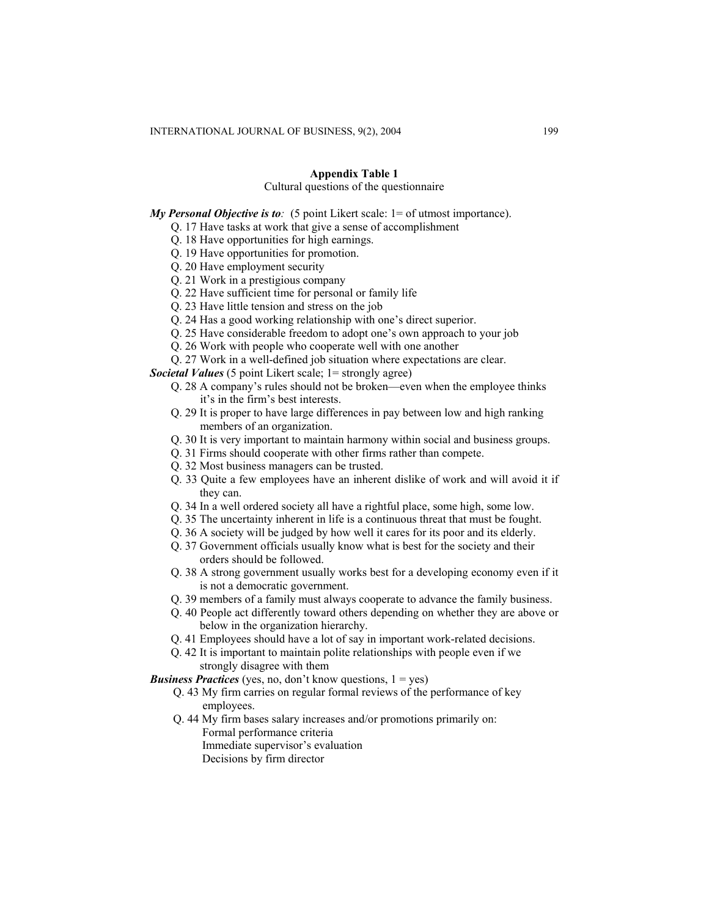## **Appendix Table 1**

## Cultural questions of the questionnaire

*My Personal Objective is to*: (5 point Likert scale: 1 = of utmost importance).

- Q. 17 Have tasks at work that give a sense of accomplishment
- Q. 18 Have opportunities for high earnings.
- Q. 19 Have opportunities for promotion.
- Q. 20 Have employment security
- Q. 21 Work in a prestigious company
- Q. 22 Have sufficient time for personal or family life
- Q. 23 Have little tension and stress on the job
- Q. 24 Has a good working relationship with one's direct superior.
- Q. 25 Have considerable freedom to adopt one's own approach to your job
- Q. 26 Work with people who cooperate well with one another
- Q. 27 Work in a well-defined job situation where expectations are clear.

*Societal Values* (5 point Likert scale: 1 = strongly agree)

- Q. 28 A company's rules should not be broken—even when the employee thinks it's in the firm's best interests.
- Q. 29 It is proper to have large differences in pay between low and high ranking members of an organization.
- Q. 30 It is very important to maintain harmony within social and business groups.
- Q. 31 Firms should cooperate with other firms rather than compete.
- Q. 32 Most business managers can be trusted.
- Q. 33 Quite a few employees have an inherent dislike of work and will avoid it if they can.
- Q. 34 In a well ordered society all have a rightful place, some high, some low.
- Q. 35 The uncertainty inherent in life is a continuous threat that must be fought.
- Q. 36 A society will be judged by how well it cares for its poor and its elderly.
- Q. 37 Government officials usually know what is best for the society and their orders should be followed.
- Q. 38 A strong government usually works best for a developing economy even if it is not a democratic government.
- Q. 39 members of a family must always cooperate to advance the family business.
- Q. 40 People act differently toward others depending on whether they are above or below in the organization hierarchy.
- Q. 41 Employees should have a lot of say in important work-related decisions.
- Q. 42 It is important to maintain polite relationships with people even if we strongly disagree with them

*Business Practices* (yes, no, don't know questions,  $1 = yes$ )

- Q. 43 My firm carries on regular formal reviews of the performance of key employees.
- Q. 44 My firm bases salary increases and/or promotions primarily on: Formal performance criteria Immediate supervisor's evaluation Decisions by firm director